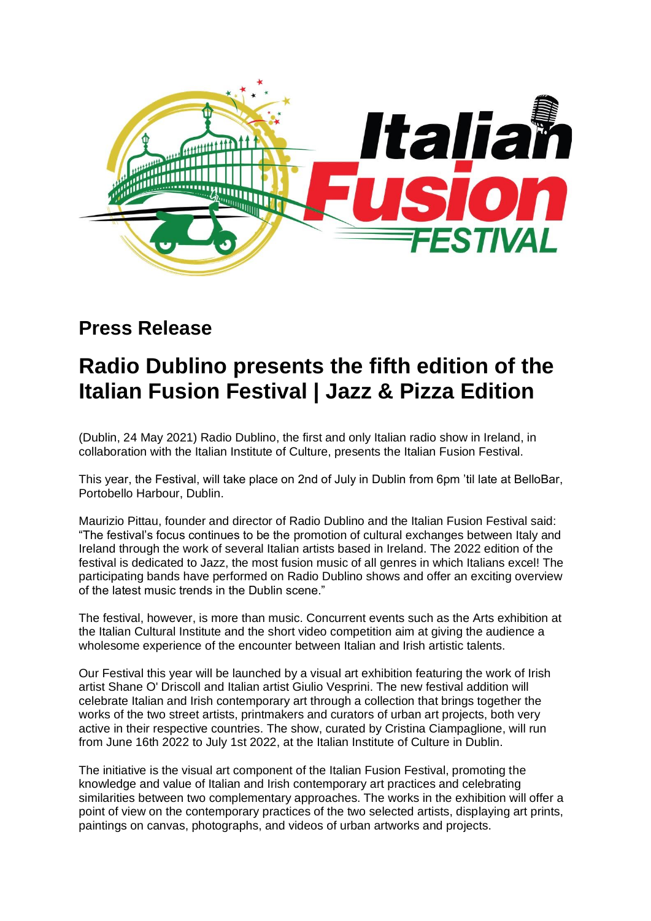

## **Press Release**

## **Radio Dublino presents the fifth edition of the Italian Fusion Festival | Jazz & Pizza Edition**

(Dublin, 24 May 2021) Radio Dublino, the first and only Italian radio show in Ireland, in collaboration with the Italian Institute of Culture, presents the Italian Fusion Festival.

This year, the Festival, will take place on 2nd of July in Dublin from 6pm 'til late at BelloBar, Portobello Harbour, Dublin.

Maurizio Pittau, founder and director of Radio Dublino and the Italian Fusion Festival said: "The festival's focus continues to be the promotion of cultural exchanges between Italy and Ireland through the work of several Italian artists based in Ireland. The 2022 edition of the festival is dedicated to Jazz, the most fusion music of all genres in which Italians excel! The participating bands have performed on Radio Dublino shows and offer an exciting overview of the latest music trends in the Dublin scene."

The festival, however, is more than music. Concurrent events such as the Arts exhibition at the Italian Cultural Institute and the short video competition aim at giving the audience a wholesome experience of the encounter between Italian and Irish artistic talents.

Our Festival this year will be launched by a visual art exhibition featuring the work of Irish artist Shane O' Driscoll and Italian artist Giulio Vesprini. The new festival addition will celebrate Italian and Irish contemporary art through a collection that brings together the works of the two street artists, printmakers and curators of urban art projects, both very active in their respective countries. The show, curated by Cristina Ciampaglione, will run from June 16th 2022 to July 1st 2022, at the Italian Institute of Culture in Dublin.

The initiative is the visual art component of the Italian Fusion Festival, promoting the knowledge and value of Italian and Irish contemporary art practices and celebrating similarities between two complementary approaches. The works in the exhibition will offer a point of view on the contemporary practices of the two selected artists, displaying art prints, paintings on canvas, photographs, and videos of urban artworks and projects.